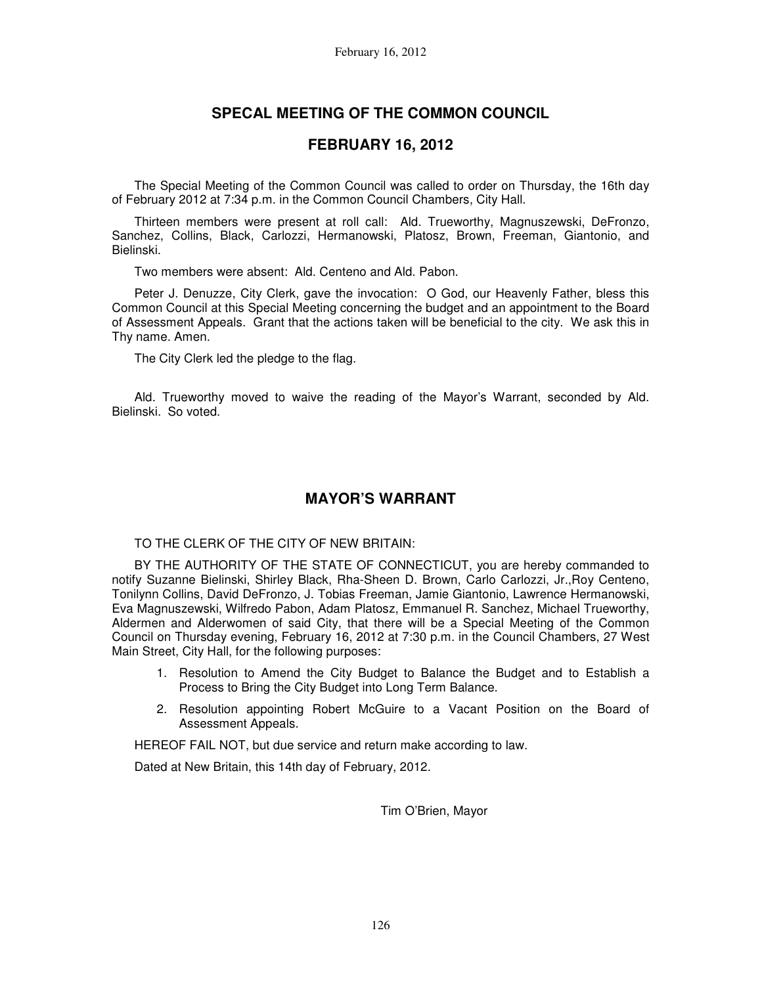# **SPECAL MEETING OF THE COMMON COUNCIL**

# **FEBRUARY 16, 2012**

The Special Meeting of the Common Council was called to order on Thursday, the 16th day of February 2012 at 7:34 p.m. in the Common Council Chambers, City Hall.

Thirteen members were present at roll call: Ald. Trueworthy, Magnuszewski, DeFronzo, Sanchez, Collins, Black, Carlozzi, Hermanowski, Platosz, Brown, Freeman, Giantonio, and Bielinski.

Two members were absent: Ald. Centeno and Ald. Pabon.

Peter J. Denuzze, City Clerk, gave the invocation: O God, our Heavenly Father, bless this Common Council at this Special Meeting concerning the budget and an appointment to the Board of Assessment Appeals. Grant that the actions taken will be beneficial to the city. We ask this in Thy name. Amen.

The City Clerk led the pledge to the flag.

Ald. Trueworthy moved to waive the reading of the Mayor's Warrant, seconded by Ald. Bielinski. So voted.

# **MAYOR'S WARRANT**

## TO THE CLERK OF THE CITY OF NEW BRITAIN:

BY THE AUTHORITY OF THE STATE OF CONNECTICUT, you are hereby commanded to notify Suzanne Bielinski, Shirley Black, Rha-Sheen D. Brown, Carlo Carlozzi, Jr.,Roy Centeno, Tonilynn Collins, David DeFronzo, J. Tobias Freeman, Jamie Giantonio, Lawrence Hermanowski, Eva Magnuszewski, Wilfredo Pabon, Adam Platosz, Emmanuel R. Sanchez, Michael Trueworthy, Aldermen and Alderwomen of said City, that there will be a Special Meeting of the Common Council on Thursday evening, February 16, 2012 at 7:30 p.m. in the Council Chambers, 27 West Main Street, City Hall, for the following purposes:

- 1. Resolution to Amend the City Budget to Balance the Budget and to Establish a Process to Bring the City Budget into Long Term Balance.
- 2. Resolution appointing Robert McGuire to a Vacant Position on the Board of Assessment Appeals.

HEREOF FAIL NOT, but due service and return make according to law.

Dated at New Britain, this 14th day of February, 2012.

Tim O'Brien, Mayor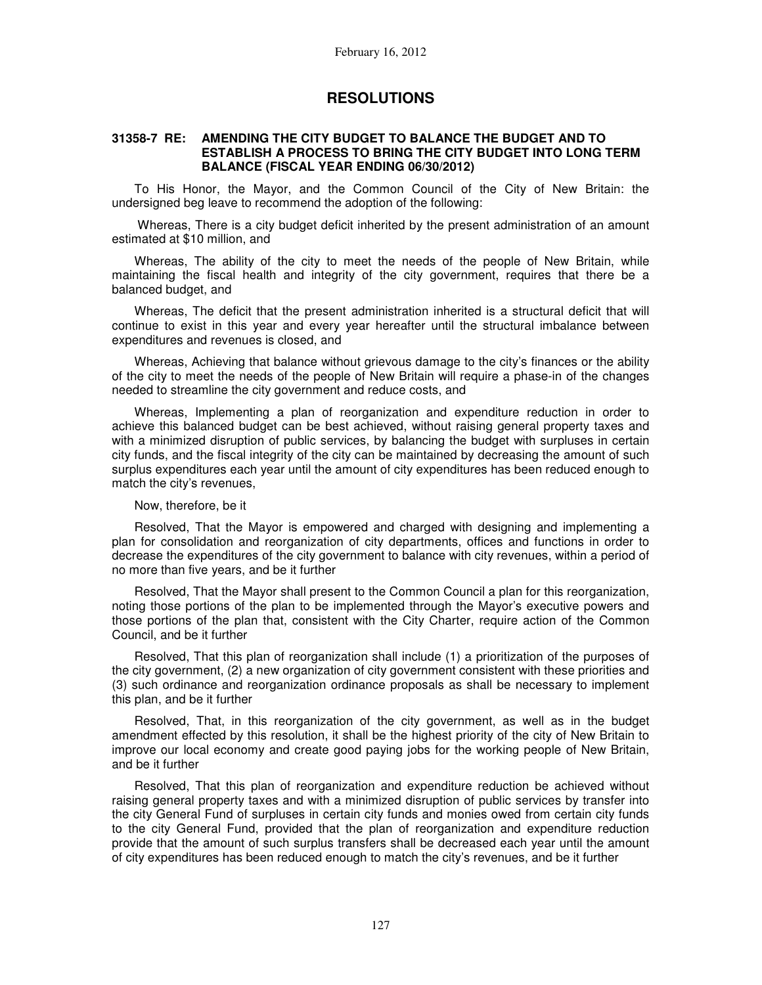## **RESOLUTIONS**

### **31358-7 RE: AMENDING THE CITY BUDGET TO BALANCE THE BUDGET AND TO ESTABLISH A PROCESS TO BRING THE CITY BUDGET INTO LONG TERM BALANCE (FISCAL YEAR ENDING 06/30/2012)**

To His Honor, the Mayor, and the Common Council of the City of New Britain: the undersigned beg leave to recommend the adoption of the following:

 Whereas, There is a city budget deficit inherited by the present administration of an amount estimated at \$10 million, and

Whereas, The ability of the city to meet the needs of the people of New Britain, while maintaining the fiscal health and integrity of the city government, requires that there be a balanced budget, and

Whereas, The deficit that the present administration inherited is a structural deficit that will continue to exist in this year and every year hereafter until the structural imbalance between expenditures and revenues is closed, and

Whereas, Achieving that balance without grievous damage to the city's finances or the ability of the city to meet the needs of the people of New Britain will require a phase-in of the changes needed to streamline the city government and reduce costs, and

Whereas, Implementing a plan of reorganization and expenditure reduction in order to achieve this balanced budget can be best achieved, without raising general property taxes and with a minimized disruption of public services, by balancing the budget with surpluses in certain city funds, and the fiscal integrity of the city can be maintained by decreasing the amount of such surplus expenditures each year until the amount of city expenditures has been reduced enough to match the city's revenues,

#### Now, therefore, be it

Resolved, That the Mayor is empowered and charged with designing and implementing a plan for consolidation and reorganization of city departments, offices and functions in order to decrease the expenditures of the city government to balance with city revenues, within a period of no more than five years, and be it further

Resolved, That the Mayor shall present to the Common Council a plan for this reorganization, noting those portions of the plan to be implemented through the Mayor's executive powers and those portions of the plan that, consistent with the City Charter, require action of the Common Council, and be it further

Resolved, That this plan of reorganization shall include (1) a prioritization of the purposes of the city government, (2) a new organization of city government consistent with these priorities and (3) such ordinance and reorganization ordinance proposals as shall be necessary to implement this plan, and be it further

Resolved, That, in this reorganization of the city government, as well as in the budget amendment effected by this resolution, it shall be the highest priority of the city of New Britain to improve our local economy and create good paying jobs for the working people of New Britain, and be it further

Resolved, That this plan of reorganization and expenditure reduction be achieved without raising general property taxes and with a minimized disruption of public services by transfer into the city General Fund of surpluses in certain city funds and monies owed from certain city funds to the city General Fund, provided that the plan of reorganization and expenditure reduction provide that the amount of such surplus transfers shall be decreased each year until the amount of city expenditures has been reduced enough to match the city's revenues, and be it further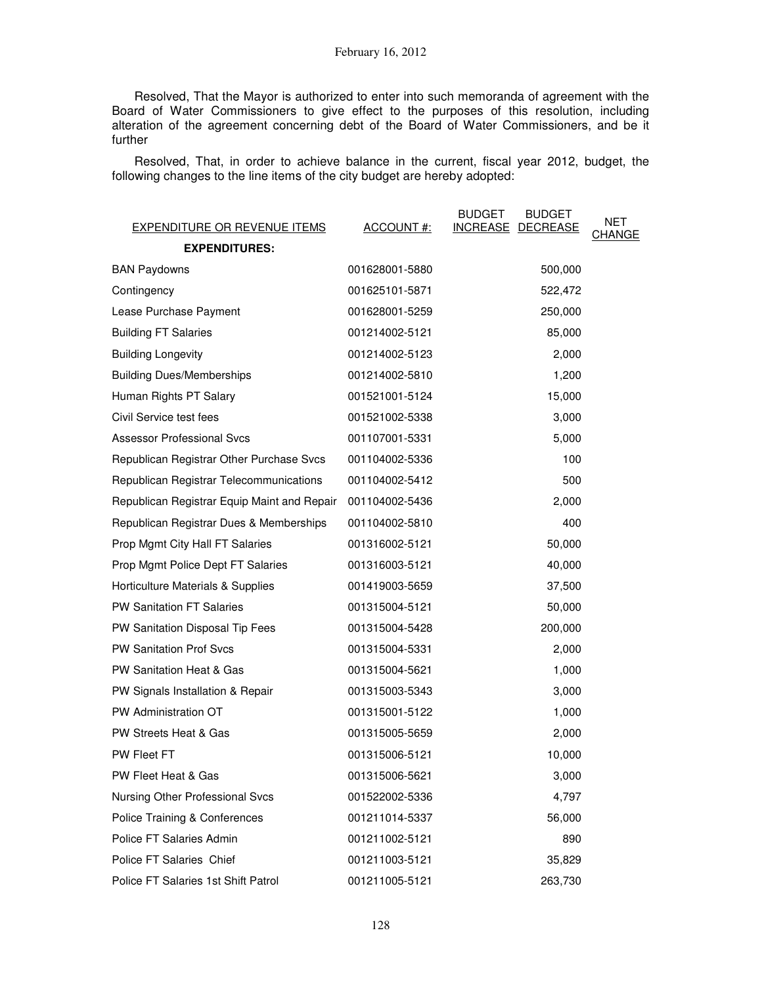Resolved, That the Mayor is authorized to enter into such memoranda of agreement with the Board of Water Commissioners to give effect to the purposes of this resolution, including alteration of the agreement concerning debt of the Board of Water Commissioners, and be it further

Resolved, That, in order to achieve balance in the current, fiscal year 2012, budget, the following changes to the line items of the city budget are hereby adopted:

| <b>EXPENDITURE OR REVENUE ITEMS</b>         | ACCOUNT#:      | <b>BUDGET</b><br><b>BUDGET</b><br>INCREASE DECREASE | NET<br>CHANGE |
|---------------------------------------------|----------------|-----------------------------------------------------|---------------|
| <b>EXPENDITURES:</b>                        |                |                                                     |               |
| <b>BAN Paydowns</b>                         | 001628001-5880 | 500,000                                             |               |
| Contingency                                 | 001625101-5871 | 522,472                                             |               |
| Lease Purchase Payment                      | 001628001-5259 | 250,000                                             |               |
| <b>Building FT Salaries</b>                 | 001214002-5121 | 85,000                                              |               |
| <b>Building Longevity</b>                   | 001214002-5123 | 2,000                                               |               |
| <b>Building Dues/Memberships</b>            | 001214002-5810 | 1,200                                               |               |
| Human Rights PT Salary                      | 001521001-5124 | 15,000                                              |               |
| Civil Service test fees                     | 001521002-5338 | 3,000                                               |               |
| <b>Assessor Professional Svcs</b>           | 001107001-5331 | 5,000                                               |               |
| Republican Registrar Other Purchase Svcs    | 001104002-5336 | 100                                                 |               |
| Republican Registrar Telecommunications     | 001104002-5412 | 500                                                 |               |
| Republican Registrar Equip Maint and Repair | 001104002-5436 | 2,000                                               |               |
| Republican Registrar Dues & Memberships     | 001104002-5810 | 400                                                 |               |
| Prop Mgmt City Hall FT Salaries             | 001316002-5121 | 50,000                                              |               |
| Prop Mgmt Police Dept FT Salaries           | 001316003-5121 | 40,000                                              |               |
| Horticulture Materials & Supplies           | 001419003-5659 | 37,500                                              |               |
| <b>PW Sanitation FT Salaries</b>            | 001315004-5121 | 50,000                                              |               |
| PW Sanitation Disposal Tip Fees             | 001315004-5428 | 200,000                                             |               |
| <b>PW Sanitation Prof Svcs</b>              | 001315004-5331 | 2,000                                               |               |
| PW Sanitation Heat & Gas                    | 001315004-5621 | 1,000                                               |               |
| PW Signals Installation & Repair            | 001315003-5343 | 3,000                                               |               |
| PW Administration OT                        | 001315001-5122 | 1,000                                               |               |
| PW Streets Heat & Gas                       | 001315005-5659 | 2,000                                               |               |
| PW Fleet FT                                 | 001315006-5121 | 10,000                                              |               |
| PW Fleet Heat & Gas                         | 001315006-5621 | 3,000                                               |               |
| Nursing Other Professional Svcs             | 001522002-5336 | 4,797                                               |               |
| Police Training & Conferences               | 001211014-5337 | 56,000                                              |               |
| Police FT Salaries Admin                    | 001211002-5121 | 890                                                 |               |
| Police FT Salaries Chief                    | 001211003-5121 | 35,829                                              |               |
| Police FT Salaries 1st Shift Patrol         | 001211005-5121 | 263,730                                             |               |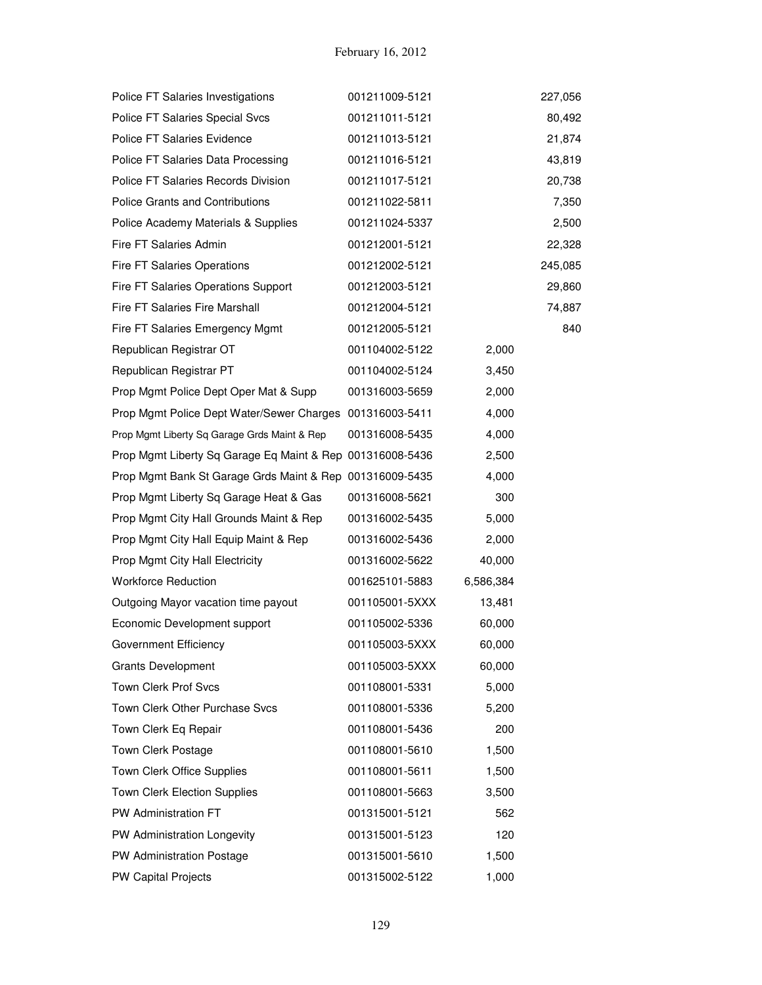| Police FT Salaries Investigations                         | 001211009-5121 |           | 227,056 |
|-----------------------------------------------------------|----------------|-----------|---------|
| Police FT Salaries Special Svcs                           | 001211011-5121 |           | 80,492  |
| Police FT Salaries Evidence                               | 001211013-5121 |           | 21,874  |
| Police FT Salaries Data Processing                        | 001211016-5121 |           | 43,819  |
| Police FT Salaries Records Division                       | 001211017-5121 |           | 20,738  |
| <b>Police Grants and Contributions</b>                    | 001211022-5811 |           | 7,350   |
| Police Academy Materials & Supplies                       | 001211024-5337 |           | 2,500   |
| Fire FT Salaries Admin                                    | 001212001-5121 |           | 22,328  |
| Fire FT Salaries Operations                               | 001212002-5121 |           | 245,085 |
| Fire FT Salaries Operations Support                       | 001212003-5121 |           | 29,860  |
| Fire FT Salaries Fire Marshall                            | 001212004-5121 |           | 74,887  |
| Fire FT Salaries Emergency Mgmt                           | 001212005-5121 |           | 840     |
| Republican Registrar OT                                   | 001104002-5122 | 2,000     |         |
| Republican Registrar PT                                   | 001104002-5124 | 3,450     |         |
| Prop Mgmt Police Dept Oper Mat & Supp                     | 001316003-5659 | 2,000     |         |
| Prop Mgmt Police Dept Water/Sewer Charges 001316003-5411  |                | 4,000     |         |
| Prop Mgmt Liberty Sq Garage Grds Maint & Rep              | 001316008-5435 | 4,000     |         |
| Prop Mgmt Liberty Sq Garage Eq Maint & Rep 001316008-5436 |                | 2,500     |         |
| Prop Mgmt Bank St Garage Grds Maint & Rep 001316009-5435  |                | 4,000     |         |
| Prop Mgmt Liberty Sq Garage Heat & Gas                    | 001316008-5621 | 300       |         |
| Prop Mgmt City Hall Grounds Maint & Rep                   | 001316002-5435 | 5,000     |         |
| Prop Mgmt City Hall Equip Maint & Rep                     | 001316002-5436 | 2,000     |         |
| Prop Mgmt City Hall Electricity                           | 001316002-5622 | 40,000    |         |
| <b>Workforce Reduction</b>                                | 001625101-5883 | 6,586,384 |         |
| Outgoing Mayor vacation time payout                       | 001105001-5XXX | 13,481    |         |
| Economic Development support                              | 001105002-5336 | 60,000    |         |
| Government Efficiency                                     | 001105003-5XXX | 60,000    |         |
| <b>Grants Development</b>                                 | 001105003-5XXX | 60,000    |         |
| Town Clerk Prof Svcs                                      | 001108001-5331 | 5,000     |         |
| Town Clerk Other Purchase Svcs                            | 001108001-5336 | 5,200     |         |
| Town Clerk Eq Repair                                      | 001108001-5436 | 200       |         |
| Town Clerk Postage                                        | 001108001-5610 | 1,500     |         |
| Town Clerk Office Supplies                                | 001108001-5611 | 1,500     |         |
| <b>Town Clerk Election Supplies</b>                       | 001108001-5663 | 3,500     |         |
| PW Administration FT                                      | 001315001-5121 | 562       |         |
| PW Administration Longevity                               | 001315001-5123 | 120       |         |
| PW Administration Postage                                 | 001315001-5610 | 1,500     |         |
| PW Capital Projects                                       | 001315002-5122 | 1,000     |         |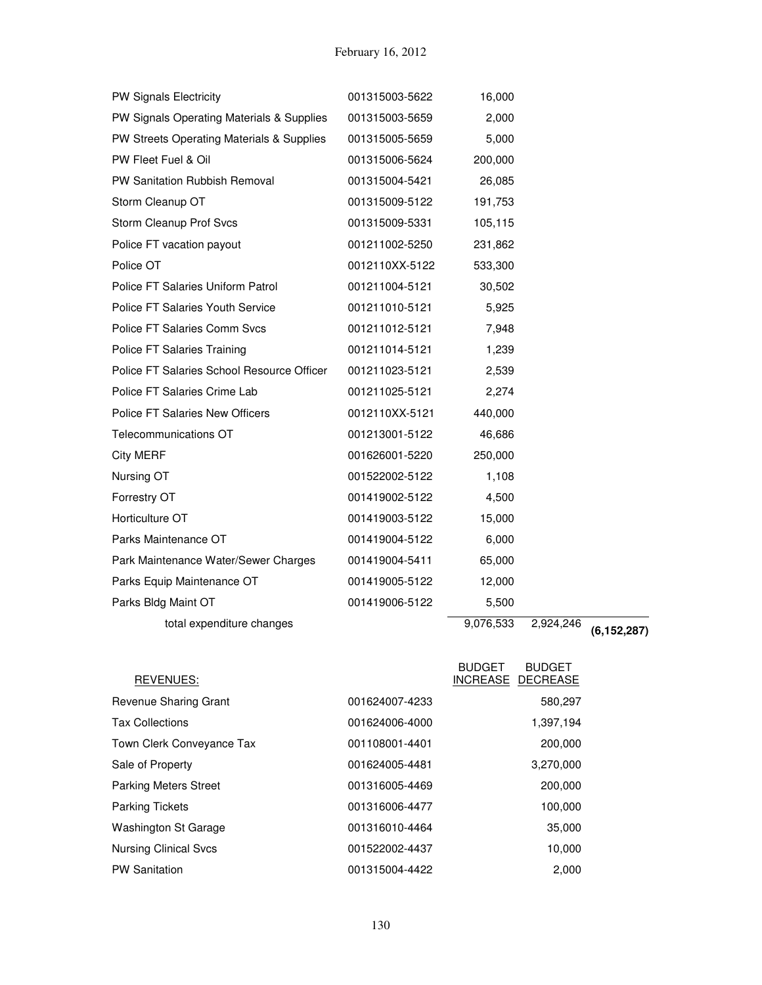| Parks Bldg Maint OT                        | 001419006-5122 | 5,500   |  |
|--------------------------------------------|----------------|---------|--|
| Parks Equip Maintenance OT                 | 001419005-5122 | 12,000  |  |
| Park Maintenance Water/Sewer Charges       | 001419004-5411 | 65,000  |  |
| Parks Maintenance OT                       | 001419004-5122 | 6,000   |  |
| Horticulture OT                            | 001419003-5122 | 15,000  |  |
| Forrestry OT                               | 001419002-5122 | 4,500   |  |
| Nursing OT                                 | 001522002-5122 | 1,108   |  |
| <b>City MERF</b>                           | 001626001-5220 | 250,000 |  |
| Telecommunications OT                      | 001213001-5122 | 46,686  |  |
| Police FT Salaries New Officers            | 0012110XX-5121 | 440,000 |  |
| Police FT Salaries Crime Lab               | 001211025-5121 | 2,274   |  |
| Police FT Salaries School Resource Officer | 001211023-5121 | 2,539   |  |
| Police FT Salaries Training                | 001211014-5121 | 1,239   |  |
| Police FT Salaries Comm Svcs               | 001211012-5121 | 7,948   |  |
| Police FT Salaries Youth Service           | 001211010-5121 | 5,925   |  |
| Police FT Salaries Uniform Patrol          | 001211004-5121 | 30,502  |  |
| Police OT                                  | 0012110XX-5122 | 533,300 |  |
| Police FT vacation payout                  | 001211002-5250 | 231,862 |  |
| Storm Cleanup Prof Svcs                    | 001315009-5331 | 105,115 |  |
| Storm Cleanup OT                           | 001315009-5122 | 191,753 |  |
| PW Sanitation Rubbish Removal              | 001315004-5421 | 26,085  |  |
| PW Fleet Fuel & Oil                        | 001315006-5624 | 200,000 |  |
| PW Streets Operating Materials & Supplies  | 001315005-5659 | 5,000   |  |
| PW Signals Operating Materials & Supplies  | 001315003-5659 | 2,000   |  |
| <b>PW Signals Electricity</b>              | 001315003-5622 | 16,000  |  |

| REVENUES:                    |                | <b>BUDGET</b><br><b>BUDGET</b><br>INCREASE DECREASE |
|------------------------------|----------------|-----------------------------------------------------|
| Revenue Sharing Grant        | 001624007-4233 | 580,297                                             |
| <b>Tax Collections</b>       | 001624006-4000 | 1,397,194                                           |
| Town Clerk Conveyance Tax    | 001108001-4401 | 200,000                                             |
| Sale of Property             | 001624005-4481 | 3,270,000                                           |
| <b>Parking Meters Street</b> | 001316005-4469 | 200,000                                             |
| <b>Parking Tickets</b>       | 001316006-4477 | 100,000                                             |
| <b>Washington St Garage</b>  | 001316010-4464 | 35,000                                              |
| <b>Nursing Clinical Svcs</b> | 001522002-4437 | 10,000                                              |
| <b>PW Sanitation</b>         | 001315004-4422 | 2,000                                               |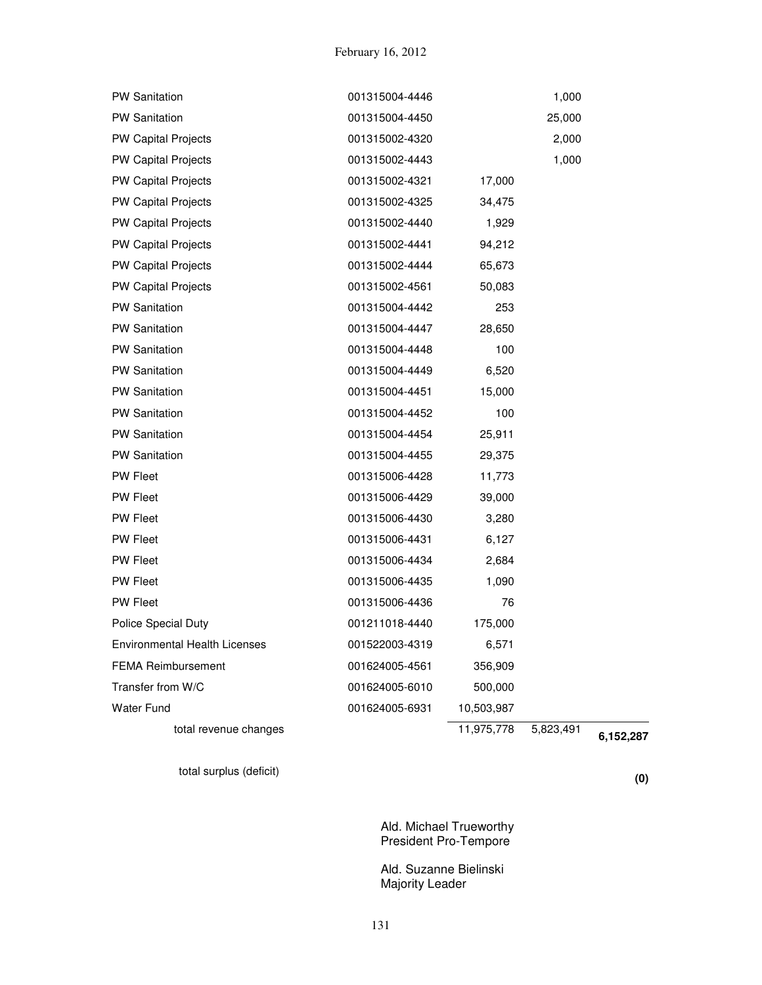| total revenue changes         |                | 11,975,778 | 5,823,491 | 6,152,287 |
|-------------------------------|----------------|------------|-----------|-----------|
| <b>Water Fund</b>             | 001624005-6931 | 10,503,987 |           |           |
| Transfer from W/C             | 001624005-6010 | 500,000    |           |           |
| <b>FEMA Reimbursement</b>     | 001624005-4561 | 356,909    |           |           |
| Environmental Health Licenses | 001522003-4319 | 6,571      |           |           |
| <b>Police Special Duty</b>    | 001211018-4440 | 175,000    |           |           |
| <b>PW Fleet</b>               | 001315006-4436 | 76         |           |           |
| <b>PW Fleet</b>               | 001315006-4435 | 1,090      |           |           |
| PW Fleet                      | 001315006-4434 | 2,684      |           |           |
| <b>PW Fleet</b>               | 001315006-4431 | 6,127      |           |           |
| <b>PW Fleet</b>               | 001315006-4430 | 3,280      |           |           |
| PW Fleet                      | 001315006-4429 | 39,000     |           |           |
| <b>PW Fleet</b>               | 001315006-4428 | 11,773     |           |           |
| <b>PW Sanitation</b>          | 001315004-4455 | 29,375     |           |           |
| <b>PW Sanitation</b>          | 001315004-4454 | 25,911     |           |           |
| <b>PW Sanitation</b>          | 001315004-4452 | 100        |           |           |
| <b>PW Sanitation</b>          | 001315004-4451 | 15,000     |           |           |
| <b>PW Sanitation</b>          | 001315004-4449 | 6,520      |           |           |
| <b>PW Sanitation</b>          | 001315004-4448 | 100        |           |           |
| <b>PW Sanitation</b>          | 001315004-4447 | 28,650     |           |           |
| <b>PW Sanitation</b>          | 001315004-4442 | 253        |           |           |
| <b>PW Capital Projects</b>    | 001315002-4561 | 50,083     |           |           |
| <b>PW Capital Projects</b>    | 001315002-4444 | 65,673     |           |           |
| PW Capital Projects           | 001315002-4441 | 94,212     |           |           |
| <b>PW Capital Projects</b>    | 001315002-4440 | 1,929      |           |           |
| <b>PW Capital Projects</b>    | 001315002-4325 | 34,475     |           |           |
| <b>PW Capital Projects</b>    | 001315002-4321 | 17,000     |           |           |
| <b>PW Capital Projects</b>    | 001315002-4443 |            | 1,000     |           |
| <b>PW Capital Projects</b>    | 001315002-4320 |            | 2,000     |           |
| <b>PW Sanitation</b>          | 001315004-4450 |            | 25,000    |           |
| PW Sanitation                 | 001315004-4446 |            | 1,000     |           |

total surplus (deficit) **(0)**

Ald. Michael Trueworthy President Pro-Tempore

Ald. Suzanne Bielinski Majority Leader